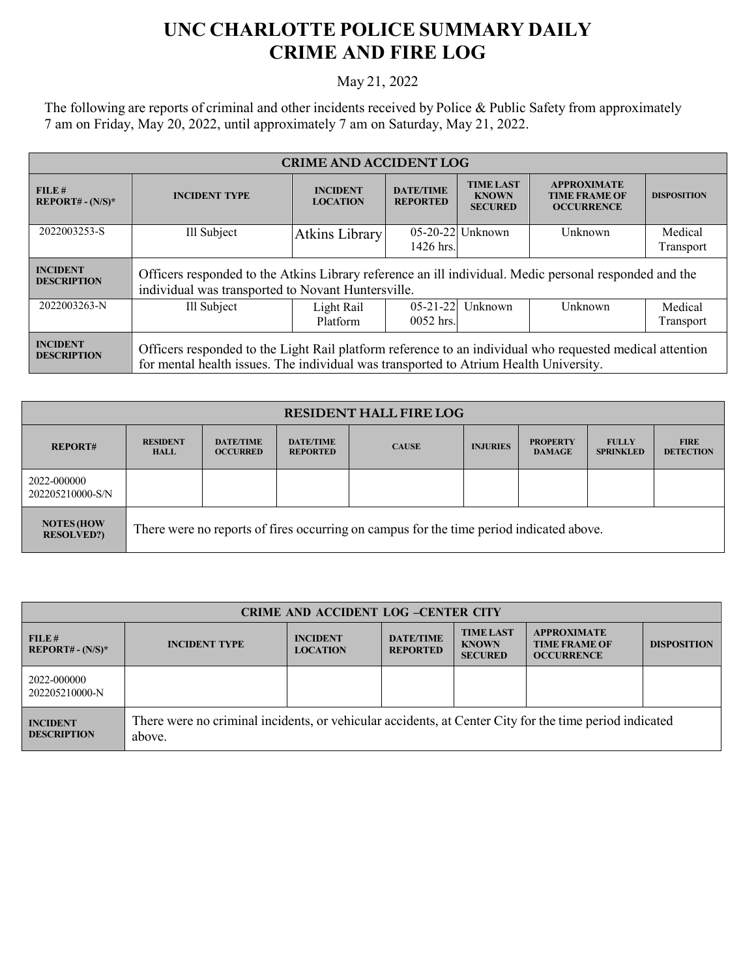## **UNC CHARLOTTE POLICE SUMMARY DAILY CRIME AND FIRE LOG**

## May 21, 2022

The following are reports of criminal and other incidents received by Police & Public Safety from approximately 7 am on Friday, May 20, 2022, until approximately 7 am on Saturday, May 21, 2022.

| <b>CRIME AND ACCIDENT LOG</b>         |                                                                                                                                                                                                   |                                    |                                     |                                                    |                                                                 |                      |  |
|---------------------------------------|---------------------------------------------------------------------------------------------------------------------------------------------------------------------------------------------------|------------------------------------|-------------------------------------|----------------------------------------------------|-----------------------------------------------------------------|----------------------|--|
| FILE#<br>$REPORT# - (N/S)*$           | <b>INCIDENT TYPE</b>                                                                                                                                                                              | <b>INCIDENT</b><br><b>LOCATION</b> | <b>DATE/TIME</b><br><b>REPORTED</b> | <b>TIME LAST</b><br><b>KNOWN</b><br><b>SECURED</b> | <b>APPROXIMATE</b><br><b>TIME FRAME OF</b><br><b>OCCURRENCE</b> | <b>DISPOSITION</b>   |  |
| 2022003253-S                          | Ill Subject                                                                                                                                                                                       | Atkins Library                     | 1426 hrs.                           | $05-20-22$ Unknown                                 | Unknown                                                         | Medical<br>Transport |  |
| <b>INCIDENT</b><br><b>DESCRIPTION</b> | Officers responded to the Atkins Library reference an ill individual. Medic personal responded and the<br>individual was transported to Novant Huntersville.                                      |                                    |                                     |                                                    |                                                                 |                      |  |
| 2022003263-N                          | Ill Subject                                                                                                                                                                                       | Light Rail<br>Platform             | $05 - 21 - 22$<br>$0052$ hrs.       | Unknown                                            | Unknown                                                         | Medical<br>Transport |  |
| <b>INCIDENT</b><br><b>DESCRIPTION</b> | Officers responded to the Light Rail platform reference to an individual who requested medical attention<br>for mental health issues. The individual was transported to Atrium Health University. |                                    |                                     |                                                    |                                                                 |                      |  |

| <b>RESIDENT HALL FIRE LOG</b>          |                                                                                         |                                     |                                     |              |                 |                                  |                                  |                                 |
|----------------------------------------|-----------------------------------------------------------------------------------------|-------------------------------------|-------------------------------------|--------------|-----------------|----------------------------------|----------------------------------|---------------------------------|
| <b>REPORT#</b>                         | <b>RESIDENT</b><br><b>HALL</b>                                                          | <b>DATE/TIME</b><br><b>OCCURRED</b> | <b>DATE/TIME</b><br><b>REPORTED</b> | <b>CAUSE</b> | <b>INJURIES</b> | <b>PROPERTY</b><br><b>DAMAGE</b> | <b>FULLY</b><br><b>SPRINKLED</b> | <b>FIRE</b><br><b>DETECTION</b> |
| 2022-000000<br>202205210000-S/N        |                                                                                         |                                     |                                     |              |                 |                                  |                                  |                                 |
| <b>NOTES (HOW</b><br><b>RESOLVED?)</b> | There were no reports of fires occurring on campus for the time period indicated above. |                                     |                                     |              |                 |                                  |                                  |                                 |

| <b>CRIME AND ACCIDENT LOG -CENTER CITY</b> |                                                                                                                  |                                    |                                     |                                                    |                                                                 |                    |  |
|--------------------------------------------|------------------------------------------------------------------------------------------------------------------|------------------------------------|-------------------------------------|----------------------------------------------------|-----------------------------------------------------------------|--------------------|--|
| FILE#<br>$REPORT# - (N/S)*$                | <b>INCIDENT TYPE</b>                                                                                             | <b>INCIDENT</b><br><b>LOCATION</b> | <b>DATE/TIME</b><br><b>REPORTED</b> | <b>TIME LAST</b><br><b>KNOWN</b><br><b>SECURED</b> | <b>APPROXIMATE</b><br><b>TIME FRAME OF</b><br><b>OCCURRENCE</b> | <b>DISPOSITION</b> |  |
| 2022-000000<br>202205210000-N              |                                                                                                                  |                                    |                                     |                                                    |                                                                 |                    |  |
| <b>INCIDENT</b><br><b>DESCRIPTION</b>      | There were no criminal incidents, or vehicular accidents, at Center City for the time period indicated<br>above. |                                    |                                     |                                                    |                                                                 |                    |  |